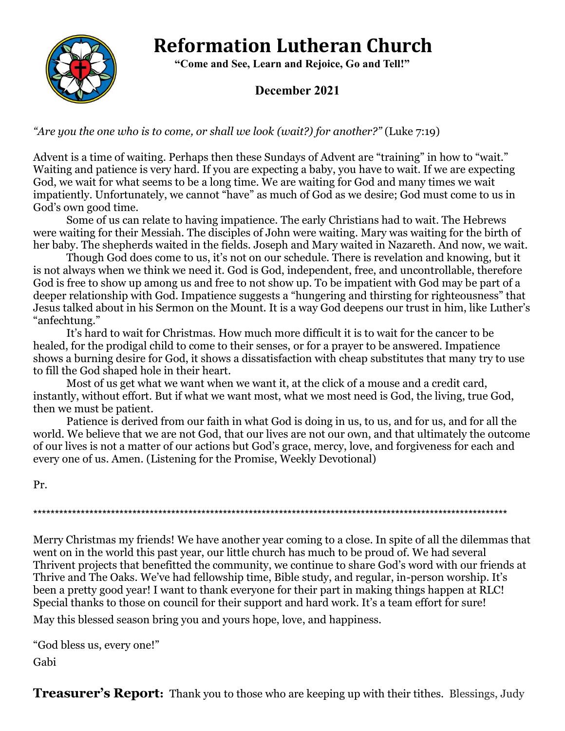# **Reformation Lutheran Church**



 **"Come and See, Learn and Rejoice, Go and Tell!"**

#### **December 2021**

*"Are you the one who is to come, or shall we look (wait?) for another?"* (Luke 7:19)

Advent is a time of waiting. Perhaps then these Sundays of Advent are "training" in how to "wait." Waiting and patience is very hard. If you are expecting a baby, you have to wait. If we are expecting God, we wait for what seems to be a long time. We are waiting for God and many times we wait impatiently. Unfortunately, we cannot "have" as much of God as we desire; God must come to us in God's own good time.

Some of us can relate to having impatience. The early Christians had to wait. The Hebrews were waiting for their Messiah. The disciples of John were waiting. Mary was waiting for the birth of her baby. The shepherds waited in the fields. Joseph and Mary waited in Nazareth. And now, we wait.

Though God does come to us, it's not on our schedule. There is revelation and knowing, but it is not always when we think we need it. God is God, independent, free, and uncontrollable, therefore God is free to show up among us and free to not show up. To be impatient with God may be part of a deeper relationship with God. Impatience suggests a "hungering and thirsting for righteousness" that Jesus talked about in his Sermon on the Mount. It is a way God deepens our trust in him, like Luther's "anfechtung."

It's hard to wait for Christmas. How much more difficult it is to wait for the cancer to be healed, for the prodigal child to come to their senses, or for a prayer to be answered. Impatience shows a burning desire for God, it shows a dissatisfaction with cheap substitutes that many try to use to fill the God shaped hole in their heart.

Most of us get what we want when we want it, at the click of a mouse and a credit card, instantly, without effort. But if what we want most, what we most need is God, the living, true God, then we must be patient.

Patience is derived from our faith in what God is doing in us, to us, and for us, and for all the world. We believe that we are not God, that our lives are not our own, and that ultimately the outcome of our lives is not a matter of our actions but God's grace, mercy, love, and forgiveness for each and every one of us. Amen. (Listening for the Promise, Weekly Devotional)

Pr.

\*\*\*\*\*\*\*\*\*\*\*\*\*\*\*\*\*\*\*\*\*\*\*\*\*\*\*\*\*\*\*\*\*\*\*\*\*\*\*\*\*\*\*\*\*\*\*\*\*\*\*\*\*\*\*\*\*\*\*\*\*\*\*\*\*\*\*\*\*\*\*\*\*\*\*\*\*\*\*\*\*\*\*\*\*\*\*\*\*\*\*\*\*\*\*\*\*\*\*\*\*\*\*\*\*\*\*\*\*\*

Merry Christmas my friends! We have another year coming to a close. In spite of all the dilemmas that went on in the world this past year, our little church has much to be proud of. We had several Thrivent projects that benefitted the community, we continue to share God's word with our friends at Thrive and The Oaks. We've had fellowship time, Bible study, and regular, in-person worship. It's been a pretty good year! I want to thank everyone for their part in making things happen at RLC! Special thanks to those on council for their support and hard work. It's a team effort for sure!

May this blessed season bring you and yours hope, love, and happiness.

```
"God bless us, every one!"
```
Gabi

**Treasurer's Report:** Thank you to those who are keeping up with their tithes. Blessings, Judy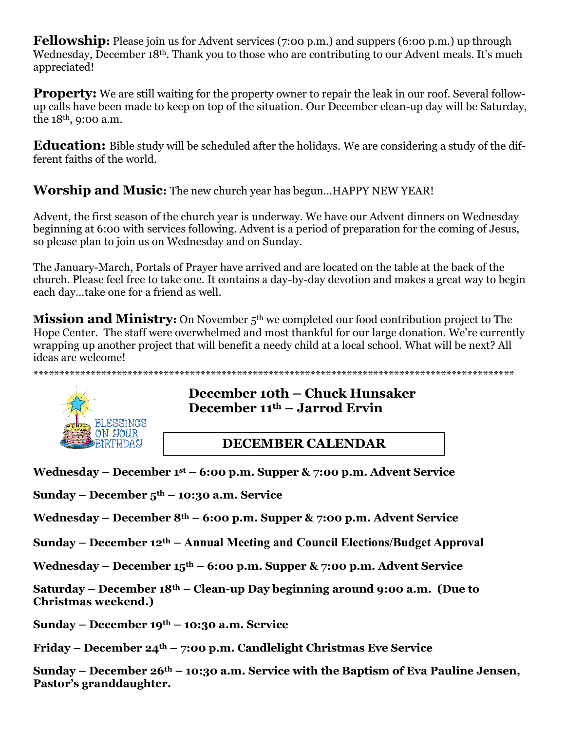**Fellowship:** Please join us for Advent services (7:00 p.m.) and suppers (6:00 p.m.) up through Wednesday, December 18<sup>th</sup>. Thank you to those who are contributing to our Advent meals. It's much appreciated!

**Property:** We are still waiting for the property owner to repair the leak in our roof. Several followup calls have been made to keep on top of the situation. Our December clean-up day will be Saturday, the 18th, 9:00 a.m.

**Education:** Bible study will be scheduled after the holidays. We are considering a study of the different faiths of the world.

**Worship and Music:** The new church year has begun…HAPPY NEW YEAR!

Advent, the first season of the church year is underway. We have our Advent dinners on Wednesday beginning at 6:00 with services following. Advent is a period of preparation for the coming of Jesus, so please plan to join us on Wednesday and on Sunday.

The January-March, Portals of Prayer have arrived and are located on the table at the back of the church. Please feel free to take one. It contains a day-by-day devotion and makes a great way to begin each day…take one for a friend as well.

**Mission and Ministry:** On November 5<sup>th</sup> we completed our food contribution project to The Hope Center. The staff were overwhelmed and most thankful for our large donation. We're currently wrapping up another project that will benefit a needy child at a local school. What will be next? All ideas are welcome!

\*\*\*\*\*\*\*\*\*\*\*\*\*\*\*\*\*\*\*\*\*\*\*\*\*\*\*\*\*\*\*\*\*\*\*\*\*\*\*\*\*\*\*\*\*\*\*\*\*\*\*\*\*\*\*\*\*\*\*\*\*\*\*\*\*\*\*\*\*\*\*\*\*\*\*\*\*\*\*\*\*\*\*\*\*\*\*\*\*\*\*\*



## **December 10th – Chuck Hunsaker December 11th – Jarrod Ervin**

## **DECEMBER CALENDAR**

**Wednesday – December 1st – 6:00 p.m. Supper & 7:00 p.m. Advent Service**

**Sunday – December 5th – 10:30 a.m. Service**

**Wednesday – December 8th – 6:00 p.m. Supper & 7:00 p.m. Advent Service**

**Sunday – December 12th – Annual Meeting and Council Elections/Budget Approval**

**Wednesday – December 15th – 6:00 p.m. Supper & 7:00 p.m. Advent Service**

**Saturday – December 18th – Clean-up Day beginning around 9:00 a.m. (Due to Christmas weekend.)**

**Sunday – December 19th – 10:30 a.m. Service**

**Friday – December 24th – 7:00 p.m. Candlelight Christmas Eve Service**

**Sunday – December 26th – 10:30 a.m. Service with the Baptism of Eva Pauline Jensen, Pastor's granddaughter.**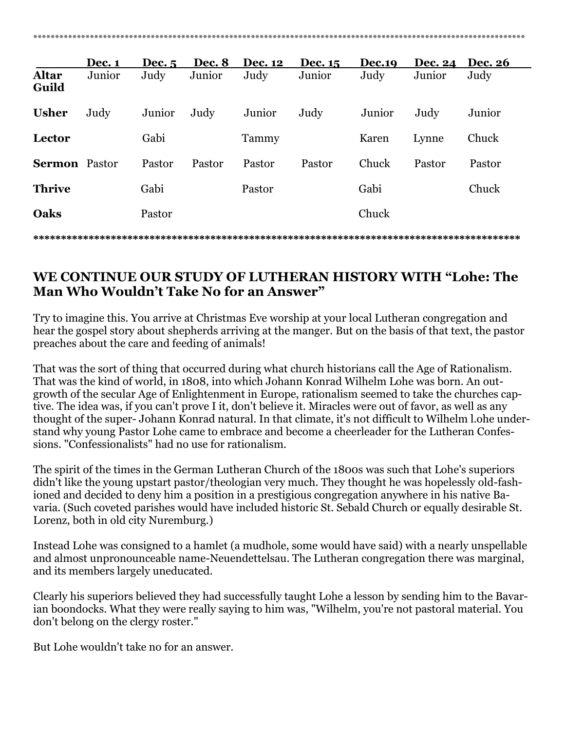|                       | Dec. 1 | Dec. 5 | Dec. 8 | <b>Dec. 12</b> | Dec. 15 | <b>Dec.19</b> | <b>Dec. 24</b> | <b>Dec. 26</b> |
|-----------------------|--------|--------|--------|----------------|---------|---------------|----------------|----------------|
| <b>Altar</b><br>Guild | Junior | Judy   | Junior | Judy           | Junior  | Judy          | Junior         | Judy           |
| <b>Usher</b>          | Judy   | Junior | Judy   | Junior         | Judy    | Junior        | Judy           | Junior         |
| Lector                |        | Gabi   |        | Tammy          |         | Karen         | Lynne          | Chuck          |
| <b>Sermon</b> Pastor  |        | Pastor | Pastor | Pastor         | Pastor  | Chuck         | Pastor         | Pastor         |
| <b>Thrive</b>         |        | Gabi   |        | Pastor         |         | Gabi          |                | Chuck          |
| Oaks                  |        | Pastor |        |                |         | Chuck         |                |                |

### **WE CONTINUE OUR STUDY OF LUTHERAN HISTORY WITH "Lohe: The Man Who Wouldn't Take No for an Answer"**

**\*\*\*\*\*\*\*\*\*\*\*\*\*\*\*\*\*\*\*\*\*\*\*\*\*\*\*\*\*\*\*\*\*\*\*\*\*\*\*\*\*\*\*\*\*\*\*\*\*\*\*\*\*\*\*\*\*\*\*\*\*\*\*\*\*\*\*\*\*\*\*\*\*\*\*\*\*\*\*\*\*\*\*\*\*\*\*\***

Try to imagine this. You arrive at Christmas Eve worship at your local Lutheran congregation and hear the gospel story about shepherds arriving at the manger. But on the basis of that text, the pastor preaches about the care and feeding of animals!

That was the sort of thing that occurred during what church historians call the Age of Rationalism. That was the kind of world, in 1808, into which Johann Konrad Wilhelm Lohe was born. An outgrowth of the secular Age of Enlightenment in Europe, rationalism seemed to take the churches captive. The idea was, if you can't prove I it, don't believe it. Miracles were out of favor, as well as any thought of the super- Johann Konrad natural. In that climate, it's not difficult to Wilhelm l.ohe understand why young Pastor Lohe came to embrace and become a cheerleader for the Lutheran Confessions. "Confessionalists" had no use for rationalism.

The spirit of the times in the German Lutheran Church of the 1800s was such that Lohe's superiors didn't like the young upstart pastor/theologian very much. They thought he was hopelessly old-fashioned and decided to deny him a position in a prestigious congregation anywhere in his native Bavaria. (Such coveted parishes would have included historic St. Sebald Church or equally desirable St. Lorenz, both in old city Nuremburg.)

Instead Lohe was consigned to a hamlet (a mudhole, some would have said) with a nearly unspellable and almost unpronounceable name-Neuendettelsau. The Lutheran congregation there was marginal, and its members largely uneducated.

Clearly his superiors believed they had successfully taught Lohe a lesson by sending him to the Bavarian boondocks. What they were really saying to him was, "Wilhelm, you're not pastoral material. You don't belong on the clergy roster."

But Lohe wouldn't take no for an answer.